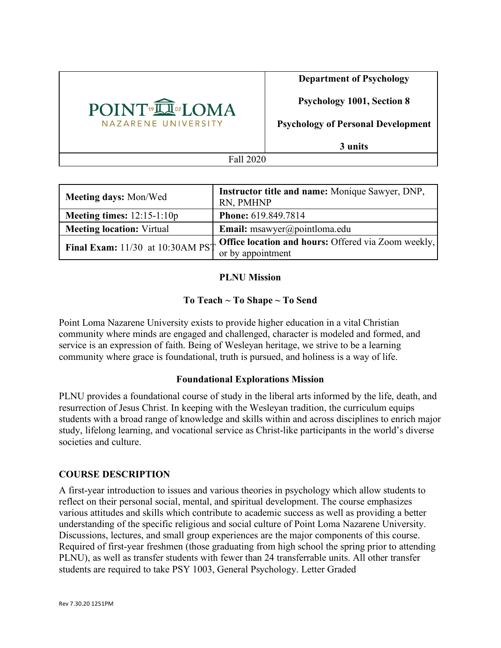

**Department of Psychology**

**Psychology 1001, Section 8**

**Psychology of Personal Development**

**3 units**

Fall 2020

| <b>Meeting days: Mon/Wed</b>                                                                     | Instructor title and name: Monique Sawyer, DNP,<br>RN, PMHNP |
|--------------------------------------------------------------------------------------------------|--------------------------------------------------------------|
| Meeting times: $12:15-1:10p$                                                                     | <b>Phone: 619.849.7814</b>                                   |
| <b>Meeting location: Virtual</b>                                                                 | <b>Email:</b> msawyer@pointloma.edu                          |
| Final Exam: 11/30 at 10:30AM PS <sup>1</sup> Office location and hours: Offered via Zoom weekly, |                                                              |
|                                                                                                  | or by appointment                                            |

# **PLNU Mission**

# **To Teach ~ To Shape ~ To Send**

Point Loma Nazarene University exists to provide higher education in a vital Christian community where minds are engaged and challenged, character is modeled and formed, and service is an expression of faith. Being of Wesleyan heritage, we strive to be a learning community where grace is foundational, truth is pursued, and holiness is a way of life.

# **Foundational Explorations Mission**

PLNU provides a foundational course of study in the liberal arts informed by the life, death, and resurrection of Jesus Christ. In keeping with the Wesleyan tradition, the curriculum equips students with a broad range of knowledge and skills within and across disciplines to enrich major study, lifelong learning, and vocational service as Christ-like participants in the world's diverse societies and culture.

# **COURSE DESCRIPTION**

A first-year introduction to issues and various theories in psychology which allow students to reflect on their personal social, mental, and spiritual development. The course emphasizes various attitudes and skills which contribute to academic success as well as providing a better understanding of the specific religious and social culture of Point Loma Nazarene University. Discussions, lectures, and small group experiences are the major components of this course. Required of first-year freshmen (those graduating from high school the spring prior to attending PLNU), as well as transfer students with fewer than 24 transferrable units. All other transfer students are required to take PSY 1003, General Psychology. Letter Graded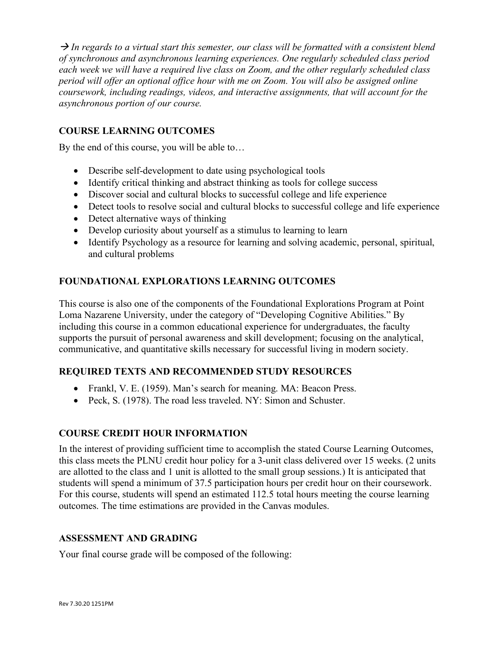$\rightarrow$  In regards to a virtual start this semester, our class will be formatted with a consistent blend *of synchronous and asynchronous learning experiences. One regularly scheduled class period each week we will have a required live class on Zoom, and the other regularly scheduled class period will offer an optional office hour with me on Zoom. You will also be assigned online coursework, including readings, videos, and interactive assignments, that will account for the asynchronous portion of our course.* 

# **COURSE LEARNING OUTCOMES**

By the end of this course, you will be able to…

- Describe self-development to date using psychological tools
- Identify critical thinking and abstract thinking as tools for college success
- Discover social and cultural blocks to successful college and life experience
- Detect tools to resolve social and cultural blocks to successful college and life experience
- Detect alternative ways of thinking
- Develop curiosity about yourself as a stimulus to learning to learn
- Identify Psychology as a resource for learning and solving academic, personal, spiritual, and cultural problems

# **FOUNDATIONAL EXPLORATIONS LEARNING OUTCOMES**

This course is also one of the components of the Foundational Explorations Program at Point Loma Nazarene University, under the category of "Developing Cognitive Abilities." By including this course in a common educational experience for undergraduates, the faculty supports the pursuit of personal awareness and skill development; focusing on the analytical, communicative, and quantitative skills necessary for successful living in modern society.

# **REQUIRED TEXTS AND RECOMMENDED STUDY RESOURCES**

- Frankl, V. E. (1959). Man's search for meaning. MA: Beacon Press.
- Peck, S. (1978). The road less traveled. NY: Simon and Schuster.

# **COURSE CREDIT HOUR INFORMATION**

In the interest of providing sufficient time to accomplish the stated Course Learning Outcomes, this class meets the PLNU credit hour policy for a 3-unit class delivered over 15 weeks. (2 units are allotted to the class and 1 unit is allotted to the small group sessions.) It is anticipated that students will spend a minimum of 37.5 participation hours per credit hour on their coursework. For this course, students will spend an estimated 112.5 total hours meeting the course learning outcomes. The time estimations are provided in the Canvas modules.

# **ASSESSMENT AND GRADING**

Your final course grade will be composed of the following: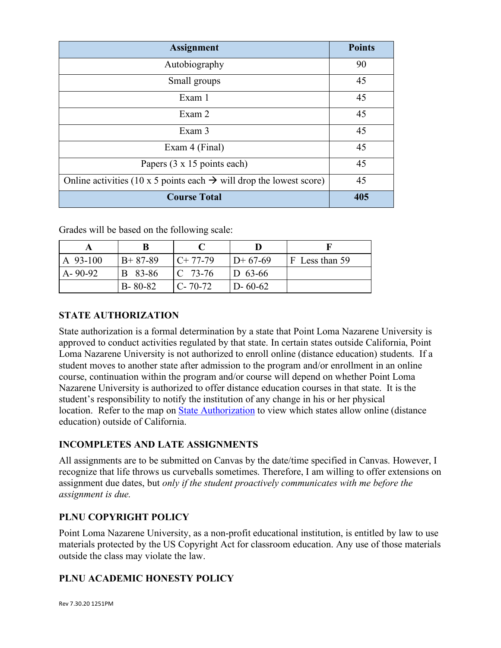| <b>Assignment</b>                                                               | <b>Points</b> |
|---------------------------------------------------------------------------------|---------------|
| Autobiography                                                                   | 90            |
| Small groups                                                                    | 45            |
| Exam 1                                                                          | 45            |
| Exam 2                                                                          | 45            |
| Exam 3                                                                          | 45            |
| Exam 4 (Final)                                                                  | 45            |
| Papers (3 x 15 points each)                                                     | 45            |
| Online activities (10 x 5 points each $\rightarrow$ will drop the lowest score) | 45            |
| <b>Course Total</b>                                                             | 405           |

Grades will be based on the following scale:

| $A$ 93-100    | $B+87-89$     | $C+77-79$     | $D+67-69$     | F Less than 59 |
|---------------|---------------|---------------|---------------|----------------|
| $A - 90 - 92$ | B 83-86       | $C$ 73-76     | $D_{63-66}$   |                |
|               | $B - 80 - 82$ | $C - 70 - 72$ | $D - 60 - 62$ |                |

# **STATE AUTHORIZATION**

State authorization is a formal determination by a state that Point Loma Nazarene University is approved to conduct activities regulated by that state. In certain states outside California, Point Loma Nazarene University is not authorized to enroll online (distance education) students. If a student moves to another state after admission to the program and/or enrollment in an online course, continuation within the program and/or course will depend on whether Point Loma Nazarene University is authorized to offer distance education courses in that state. It is the student's responsibility to notify the institution of any change in his or her physical location. Refer to the map on State Authorization to view which states allow online (distance education) outside of California.

# **INCOMPLETES AND LATE ASSIGNMENTS**

All assignments are to be submitted on Canvas by the date/time specified in Canvas. However, I recognize that life throws us curveballs sometimes. Therefore, I am willing to offer extensions on assignment due dates, but *only if the student proactively communicates with me before the assignment is due.*

# **PLNU COPYRIGHT POLICY**

Point Loma Nazarene University, as a non-profit educational institution, is entitled by law to use materials protected by the US Copyright Act for classroom education. Any use of those materials outside the class may violate the law.

# **PLNU ACADEMIC HONESTY POLICY**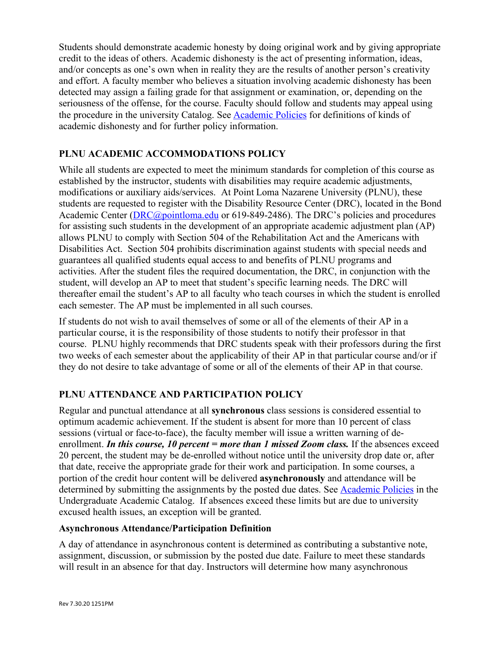Students should demonstrate academic honesty by doing original work and by giving appropriate credit to the ideas of others. Academic dishonesty is the act of presenting information, ideas, and/or concepts as one's own when in reality they are the results of another person's creativity and effort. A faculty member who believes a situation involving academic dishonesty has been detected may assign a failing grade for that assignment or examination, or, depending on the seriousness of the offense, for the course. Faculty should follow and students may appeal using the procedure in the university Catalog. See **Academic Policies** for definitions of kinds of academic dishonesty and for further policy information.

# **PLNU ACADEMIC ACCOMMODATIONS POLICY**

While all students are expected to meet the minimum standards for completion of this course as established by the instructor, students with disabilities may require academic adjustments, modifications or auxiliary aids/services. At Point Loma Nazarene University (PLNU), these students are requested to register with the Disability Resource Center (DRC), located in the Bond Academic Center (DRC@pointloma.edu or 619-849-2486). The DRC's policies and procedures for assisting such students in the development of an appropriate academic adjustment plan (AP) allows PLNU to comply with Section 504 of the Rehabilitation Act and the Americans with Disabilities Act. Section 504 prohibits discrimination against students with special needs and guarantees all qualified students equal access to and benefits of PLNU programs and activities. After the student files the required documentation, the DRC, in conjunction with the student, will develop an AP to meet that student's specific learning needs. The DRC will thereafter email the student's AP to all faculty who teach courses in which the student is enrolled each semester. The AP must be implemented in all such courses.

If students do not wish to avail themselves of some or all of the elements of their AP in a particular course, it is the responsibility of those students to notify their professor in that course. PLNU highly recommends that DRC students speak with their professors during the first two weeks of each semester about the applicability of their AP in that particular course and/or if they do not desire to take advantage of some or all of the elements of their AP in that course.

# **PLNU ATTENDANCE AND PARTICIPATION POLICY**

Regular and punctual attendance at all **synchronous** class sessions is considered essential to optimum academic achievement. If the student is absent for more than 10 percent of class sessions (virtual or face-to-face), the faculty member will issue a written warning of deenrollment. *In this course, 10 percent = more than 1 missed Zoom class.* If the absences exceed 20 percent, the student may be de-enrolled without notice until the university drop date or, after that date, receive the appropriate grade for their work and participation. In some courses, a portion of the credit hour content will be delivered **asynchronously** and attendance will be determined by submitting the assignments by the posted due dates. See Academic Policies in the Undergraduate Academic Catalog. If absences exceed these limits but are due to university excused health issues, an exception will be granted.

# **Asynchronous Attendance/Participation Definition**

A day of attendance in asynchronous content is determined as contributing a substantive note, assignment, discussion, or submission by the posted due date. Failure to meet these standards will result in an absence for that day. Instructors will determine how many asynchronous